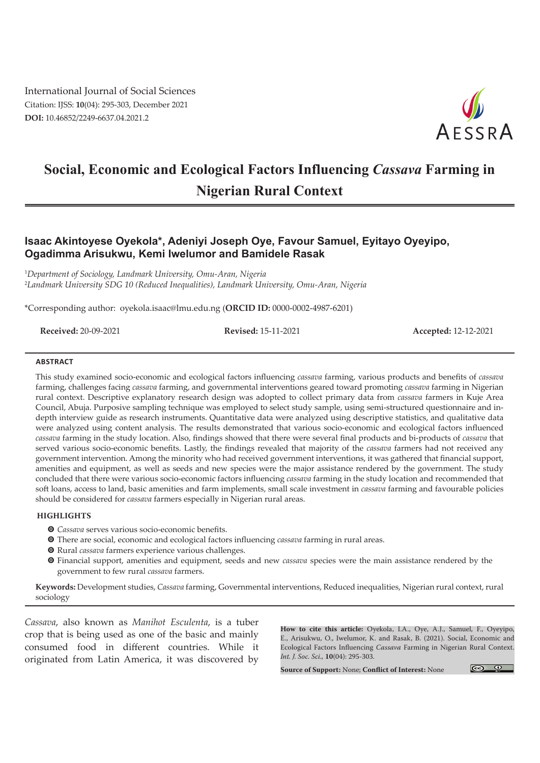International Journal of Social Sciences Citation: IJSS: **10**(04): 295-303, December 2021 **DOI:** 10.46852/2249-6637.04.2021.2



# **Social, Economic and Ecological Factors Influencing** *Cassava* **Farming in Nigerian Rural Context**

# **Isaac Akintoyese Oyekola\*, Adeniyi Joseph Oye, Favour Samuel, Eyitayo Oyeyipo, Ogadimma Arisukwu, Kemi Iwelumor and Bamidele Rasak**

1 *Department of Sociology, Landmark University, Omu-Aran, Nigeria* 2 *Landmark University SDG 10 (Reduced Inequalities), Landmark University, Omu-Aran, Nigeria*

\*Corresponding author: oyekola.isaac@lmu.edu.ng (**ORCID ID:** 0000-0002-4987-6201)

**Received:** 20-09-2021 **Revised:** 15-11-2021 **Accepted:** 12-12-2021

#### **ABSTRACT**

This study examined socio-economic and ecological factors influencing *cassava* farming, various products and benefits of *cassava* farming, challenges facing *cassava* farming, and governmental interventions geared toward promoting *cassava* farming in Nigerian rural context. Descriptive explanatory research design was adopted to collect primary data from *cassava* farmers in Kuje Area Council, Abuja. Purposive sampling technique was employed to select study sample, using semi-structured questionnaire and indepth interview guide as research instruments. Quantitative data were analyzed using descriptive statistics, and qualitative data were analyzed using content analysis. The results demonstrated that various socio-economic and ecological factors influenced *cassava* farming in the study location. Also, findings showed that there were several final products and bi-products of *cassava* that served various socio-economic benefits. Lastly, the findings revealed that majority of the *cassava* farmers had not received any government intervention. Among the minority who had received government interventions, it was gathered that financial support, amenities and equipment, as well as seeds and new species were the major assistance rendered by the government. The study concluded that there were various socio-economic factors influencing *cassava* farming in the study location and recommended that soft loans, access to land, basic amenities and farm implements, small scale investment in *cassava* farming and favourable policies should be considered for *cassava* farmers especially in Nigerian rural areas.

#### **HIGHLIGHTS**

- $\odot$  *Cassava* serves various socio-economic benefits.
- m There are social, economic and ecological factors influencing *cassava* farming in rural areas.
- $\odot$  Rural *cassava* farmers experience various challenges.
- m Financial support, amenities and equipment, seeds and new *cassava* species were the main assistance rendered by the government to few rural *cassava* farmers.

**Keywords:** Development studies, *Cassava* farming, Governmental interventions, Reduced inequalities, Nigerian rural context, rural sociology

*Cassava*, also known as *Manihot Esculenta*, is a tuber crop that is being used as one of the basic and mainly consumed food in different countries. While it originated from Latin America, it was discovered by

**How to cite this article:** Oyekola, I.A., Oye, A.J., Samuel, F., Oyeyipo, E., Arisukwu, O., Iwelumor, K. and Rasak, B. (2021). Social, Economic and Ecological Factors Influencing *Cassava* Farming in Nigerian Rural Context. *Int. J. Soc. Sci.,* **10**(04): 295-303.

**Source of Support:** None; **Conflict of Interest:** None

 $\circ$   $\circ$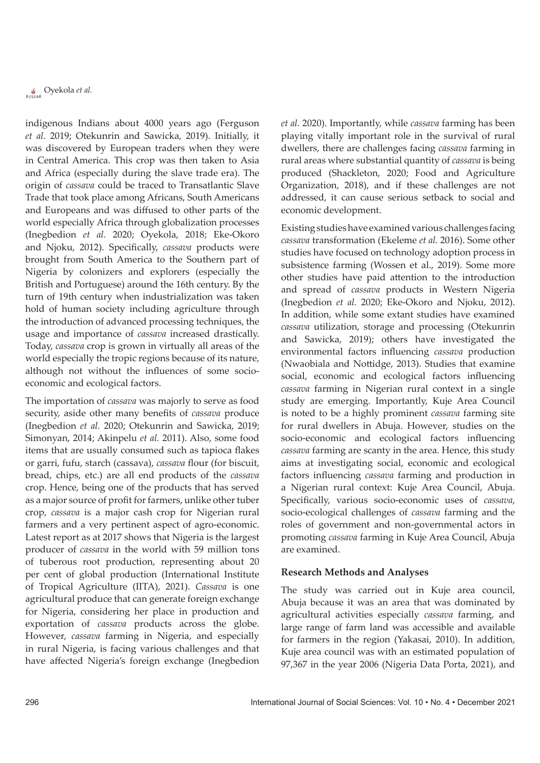indigenous Indians about 4000 years ago (Ferguson *et al.* 2019; Otekunrin and Sawicka, 2019). Initially, it was discovered by European traders when they were in Central America. This crop was then taken to Asia and Africa (especially during the slave trade era). The origin of *cassava* could be traced to Transatlantic Slave Trade that took place among Africans, South Americans and Europeans and was diffused to other parts of the world especially Africa through globalization processes (Inegbedion *et al.* 2020; Oyekola, 2018; Eke-Okoro and Njoku, 2012). Specifically, *cassava* products were brought from South America to the Southern part of Nigeria by colonizers and explorers (especially the British and Portuguese) around the 16th century. By the turn of 19th century when industrialization was taken hold of human society including agriculture through the introduction of advanced processing techniques, the usage and importance of *cassava* increased drastically. Today, *cassava* crop is grown in virtually all areas of the world especially the tropic regions because of its nature, although not without the influences of some socioeconomic and ecological factors.

The importation of *cassava* was majorly to serve as food security, aside other many benefits of *cassava* produce (Inegbedion *et al.* 2020; Otekunrin and Sawicka, 2019; Simonyan, 2014; Akinpelu *et al.* 2011). Also, some food items that are usually consumed such as tapioca flakes or garri, fufu, starch (cassava), *cassava* flour (for biscuit, bread, chips, etc.) are all end products of the *cassava* crop. Hence, being one of the products that has served as a major source of profit for farmers, unlike other tuber crop, *cassava* is a major cash crop for Nigerian rural farmers and a very pertinent aspect of agro-economic. Latest report as at 2017 shows that Nigeria is the largest producer of *cassava* in the world with 59 million tons of tuberous root production, representing about 20 per cent of global production (International Institute of Tropical Agriculture (IITA), 2021). *Cassava* is one agricultural produce that can generate foreign exchange for Nigeria, considering her place in production and exportation of *cassava* products across the globe. However, *cassava* farming in Nigeria, and especially in rural Nigeria, is facing various challenges and that have affected Nigeria's foreign exchange (Inegbedion

*et al.* 2020). Importantly, while *cassava* farming has been playing vitally important role in the survival of rural dwellers, there are challenges facing *cassava* farming in rural areas where substantial quantity of *cassava* is being produced (Shackleton, 2020; Food and Agriculture Organization, 2018), and if these challenges are not addressed, it can cause serious setback to social and economic development.

Existing studies have examined various challenges facing *cassava* transformation (Ekeleme *et al.* 2016). Some other studies have focused on technology adoption process in subsistence farming (Wossen et al., 2019). Some more other studies have paid attention to the introduction and spread of *cassava* products in Western Nigeria (Inegbedion *et al.* 2020; Eke-Okoro and Njoku, 2012). In addition, while some extant studies have examined *cassava* utilization, storage and processing (Otekunrin and Sawicka, 2019); others have investigated the environmental factors influencing *cassava* production (Nwaobiala and Nottidge, 2013). Studies that examine social, economic and ecological factors influencing *cassava* farming in Nigerian rural context in a single study are emerging. Importantly, Kuje Area Council is noted to be a highly prominent *cassava* farming site for rural dwellers in Abuja. However, studies on the socio-economic and ecological factors influencing *cassava* farming are scanty in the area. Hence, this study aims at investigating social, economic and ecological factors influencing *cassava* farming and production in a Nigerian rural context: Kuje Area Council, Abuja. Specifically, various socio-economic uses of *cassava*, socio-ecological challenges of *cassava* farming and the roles of government and non-governmental actors in promoting *cassava* farming in Kuje Area Council, Abuja are examined.

# **Research Methods and Analyses**

The study was carried out in Kuje area council, Abuja because it was an area that was dominated by agricultural activities especially *cassava* farming, and large range of farm land was accessible and available for farmers in the region (Yakasai, 2010). In addition, Kuje area council was with an estimated population of 97,367 in the year 2006 (Nigeria Data Porta, 2021), and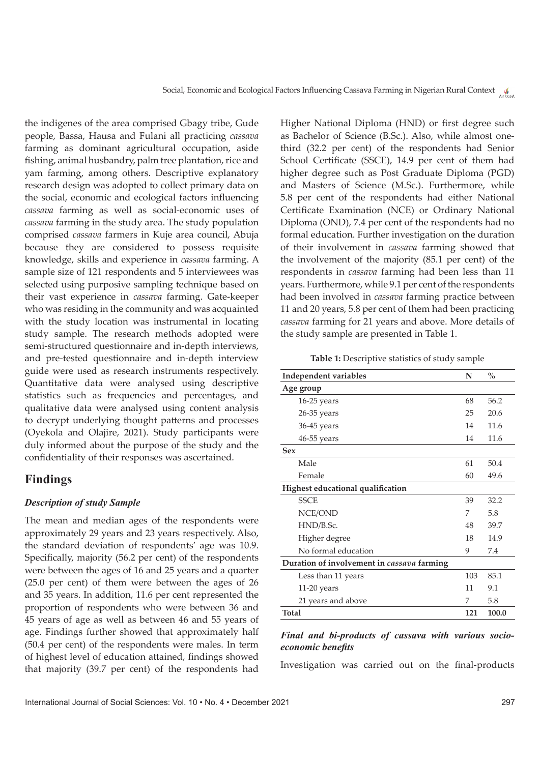the indigenes of the area comprised Gbagy tribe, Gude people, Bassa, Hausa and Fulani all practicing *cassava* farming as dominant agricultural occupation, aside fishing, animal husbandry, palm tree plantation, rice and yam farming, among others. Descriptive explanatory research design was adopted to collect primary data on the social, economic and ecological factors influencing *cassava* farming as well as social-economic uses of *cassava* farming in the study area. The study population comprised *cassava* farmers in Kuje area council, Abuja because they are considered to possess requisite knowledge, skills and experience in *cassava* farming. A sample size of 121 respondents and 5 interviewees was selected using purposive sampling technique based on their vast experience in *cassava* farming. Gate-keeper who was residing in the community and was acquainted with the study location was instrumental in locating study sample. The research methods adopted were semi-structured questionnaire and in-depth interviews, and pre-tested questionnaire and in-depth interview guide were used as research instruments respectively. Quantitative data were analysed using descriptive statistics such as frequencies and percentages, and qualitative data were analysed using content analysis to decrypt underlying thought patterns and processes (Oyekola and Olajire, 2021). Study participants were duly informed about the purpose of the study and the confidentiality of their responses was ascertained.

# **Findings**

#### *Description of study Sample*

The mean and median ages of the respondents were approximately 29 years and 23 years respectively. Also, the standard deviation of respondents' age was 10.9. Specifically, majority (56.2 per cent) of the respondents were between the ages of 16 and 25 years and a quarter (25.0 per cent) of them were between the ages of 26 and 35 years. In addition, 11.6 per cent represented the proportion of respondents who were between 36 and 45 years of age as well as between 46 and 55 years of age. Findings further showed that approximately half (50.4 per cent) of the respondents were males. In term of highest level of education attained, findings showed that majority (39.7 per cent) of the respondents had Higher National Diploma (HND) or first degree such as Bachelor of Science (B.Sc.). Also, while almost onethird (32.2 per cent) of the respondents had Senior School Certificate (SSCE), 14.9 per cent of them had higher degree such as Post Graduate Diploma (PGD) and Masters of Science (M.Sc.). Furthermore, while 5.8 per cent of the respondents had either National Certificate Examination (NCE) or Ordinary National Diploma (OND), 7.4 per cent of the respondents had no formal education. Further investigation on the duration of their involvement in *cassava* farming showed that the involvement of the majority (85.1 per cent) of the respondents in *cassava* farming had been less than 11 years. Furthermore, while 9.1 per cent of the respondents had been involved in *cassava* farming practice between 11 and 20 years, 5.8 per cent of them had been practicing *cassava* farming for 21 years and above. More details of the study sample are presented in Table 1.

**Table 1:** Descriptive statistics of study sample

| <b>Independent variables</b>               | N   | $\frac{0}{0}$ |
|--------------------------------------------|-----|---------------|
| Age group                                  |     |               |
| $16-25$ years                              | 68  | 56.2          |
| $26-35$ years                              | 25  | 20.6          |
| $36-45$ years                              | 14  | 11.6          |
| $46-55$ years                              | 14  | 11.6          |
| <b>Sex</b>                                 |     |               |
| Male                                       | 61  | 50.4          |
| Female                                     | 60  | 49.6          |
| Highest educational qualification          |     |               |
| <b>SSCE</b>                                | 39  | 32.2          |
| NCE/OND                                    | 7   | 5.8           |
| HND/B.Sc.                                  | 48  | 39.7          |
| Higher degree                              | 18  | 14.9          |
| No formal education                        | 9   | 7.4           |
| Duration of involvement in cassava farming |     |               |
| Less than 11 years                         | 103 | 85.1          |
| 11-20 years                                | 11  | 9.1           |
| 21 years and above                         | 7   | 5.8           |
| Total                                      | 121 | 100.0         |

## *Final and bi-products of cassava with various socioeconomic benefits*

Investigation was carried out on the final-products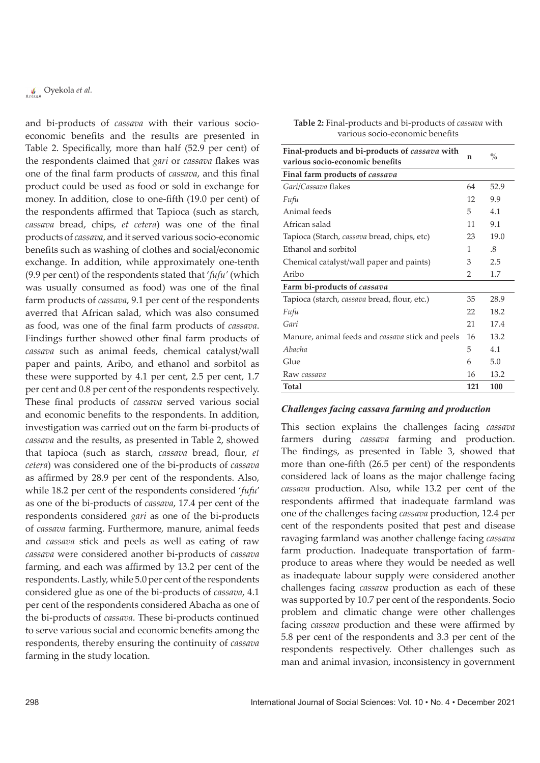and bi-products of *cassava* with their various socioeconomic benefits and the results are presented in Table 2. Specifically, more than half (52.9 per cent) of the respondents claimed that *gari* or *cassava* flakes was one of the final farm products of *cassava*, and this final product could be used as food or sold in exchange for money. In addition, close to one-fifth (19.0 per cent) of the respondents affirmed that Tapioca (such as starch, *cassava* bread, chips, *et cetera*) was one of the final products of *cassava*, and it served various socio-economic benefits such as washing of clothes and social/economic exchange. In addition, while approximately one-tenth (9.9 per cent) of the respondents stated that '*fufu'* (which was usually consumed as food) was one of the final farm products of *cassava*, 9.1 per cent of the respondents averred that African salad, which was also consumed as food, was one of the final farm products of *cassava*. Findings further showed other final farm products of *cassava* such as animal feeds, chemical catalyst/wall paper and paints, Aribo, and ethanol and sorbitol as these were supported by 4.1 per cent, 2.5 per cent, 1.7 per cent and 0.8 per cent of the respondents respectively. These final products of *cassava* served various social and economic benefits to the respondents. In addition, investigation was carried out on the farm bi-products of *cassava* and the results, as presented in Table 2, showed that tapioca (such as starch, *cassava* bread, flour, *et cetera*) was considered one of the bi-products of *cassava* as affirmed by 28.9 per cent of the respondents. Also, while 18.2 per cent of the respondents considered '*fufu*' as one of the bi-products of *cassava*, 17.4 per cent of the respondents considered *gari* as one of the bi-products of *cassava* farming. Furthermore, manure, animal feeds and *cassava* stick and peels as well as eating of raw *cassava* were considered another bi-products of *cassava* farming, and each was affirmed by 13.2 per cent of the respondents. Lastly, while 5.0 per cent of the respondents considered glue as one of the bi-products of *cassava*, 4.1 per cent of the respondents considered Abacha as one of the bi-products of *cassava*. These bi-products continued to serve various social and economic benefits among the respondents, thereby ensuring the continuity of *cassava* farming in the study location.

| Table 2: Final-products and bi-products of cassava with |
|---------------------------------------------------------|
| various socio-economic benefits                         |

| Final-products and bi-products of cassava with<br>various socio-economic benefits | n   | $\frac{0}{0}$               |
|-----------------------------------------------------------------------------------|-----|-----------------------------|
| Final farm products of cassava                                                    |     |                             |
| Gari/Cassava flakes                                                               | 64  | 52.9                        |
| Fufu                                                                              | 12  | 9.9                         |
| Animal feeds                                                                      | 5   | 4.1                         |
| African salad                                                                     | 11  | 9.1                         |
| Tapioca (Starch, cassava bread, chips, etc)                                       | 23  | 19.0                        |
| Ethanol and sorbitol                                                              | 1   | $\mathcal{S}_{\mathcal{S}}$ |
| Chemical catalyst/wall paper and paints)                                          | 3   | 2.5                         |
| Aribo                                                                             | 2   | 1.7                         |
| Farm bi-products of cassava                                                       |     |                             |
| Tapioca (starch, cassava bread, flour, etc.)                                      | 35  | 28.9                        |
| Fufu                                                                              | 22  | 18.2                        |
| Gari                                                                              | 21  | 17.4                        |
| Manure, animal feeds and <i>cassava</i> stick and peels                           | 16  | 13.2                        |
| Abacha                                                                            | 5   | 4.1                         |
| Glue                                                                              | 6   | 5.0                         |
| Raw cassava                                                                       | 16  | 13.2                        |
| Total                                                                             | 121 | 100                         |

#### *Challenges facing cassava farming and production*

This section explains the challenges facing *cassava* farmers during *cassava* farming and production. The findings, as presented in Table 3, showed that more than one-fifth (26.5 per cent) of the respondents considered lack of loans as the major challenge facing *cassava* production. Also, while 13.2 per cent of the respondents affirmed that inadequate farmland was one of the challenges facing *cassava* production, 12.4 per cent of the respondents posited that pest and disease ravaging farmland was another challenge facing *cassava* farm production. Inadequate transportation of farmproduce to areas where they would be needed as well as inadequate labour supply were considered another challenges facing *cassava* production as each of these was supported by 10.7 per cent of the respondents. Socio problem and climatic change were other challenges facing *cassava* production and these were affirmed by 5.8 per cent of the respondents and 3.3 per cent of the respondents respectively. Other challenges such as man and animal invasion, inconsistency in government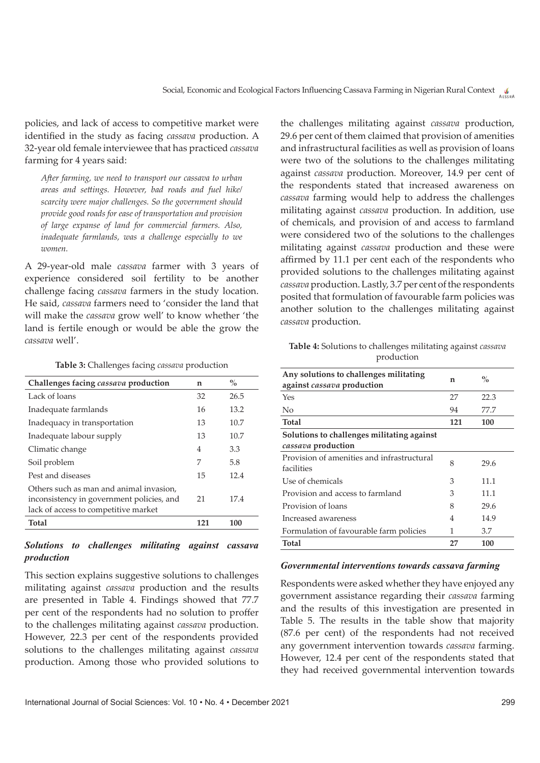policies, and lack of access to competitive market were identified in the study as facing *cassava* production. A 32-year old female interviewee that has practiced *cassava* farming for 4 years said:

*After farming, we need to transport our cassava to urban areas and settings. However, bad roads and fuel hike/ scarcity were major challenges. So the government should provide good roads for ease of transportation and provision of large expanse of land for commercial farmers. Also, inadequate farmlands, was a challenge especially to we women.*

A 29-year-old male *cassava* farmer with 3 years of experience considered soil fertility to be another challenge facing *cassava* farmers in the study location. He said, *cassava* farmers need to 'consider the land that will make the *cassava* grow well' to know whether 'the land is fertile enough or would be able the grow the *cassava* well'.

#### **Table 3:** Challenges facing *cassava* production

| Challenges facing <i>cassava</i> production                                                                                  | n   | $\frac{0}{0}$ |
|------------------------------------------------------------------------------------------------------------------------------|-----|---------------|
| Lack of loans                                                                                                                | 32  | 26.5          |
| Inadequate farmlands                                                                                                         | 16  | 13.2          |
| Inadequacy in transportation                                                                                                 | 13  | 10.7          |
| Inadequate labour supply                                                                                                     | 13  | 10.7          |
| Climatic change                                                                                                              | 4   | 3.3           |
| Soil problem                                                                                                                 | 7   | 5.8           |
| Pest and diseases                                                                                                            | 15  | 12.4          |
| Others such as man and animal invasion,<br>inconsistency in government policies, and<br>lack of access to competitive market | 21  | 17.4          |
| <b>Total</b>                                                                                                                 | 121 | 100           |
|                                                                                                                              |     |               |

# *Solutions to challenges militating against cassava production*

This section explains suggestive solutions to challenges militating against *cassava* production and the results are presented in Table 4. Findings showed that 77.7 per cent of the respondents had no solution to proffer to the challenges militating against *cassava* production. However, 22.3 per cent of the respondents provided solutions to the challenges militating against *cassava* production. Among those who provided solutions to the challenges militating against *cassava* production, 29.6 per cent of them claimed that provision of amenities and infrastructural facilities as well as provision of loans were two of the solutions to the challenges militating against *cassava* production. Moreover, 14.9 per cent of the respondents stated that increased awareness on *cassava* farming would help to address the challenges militating against *cassava* production. In addition, use of chemicals, and provision of and access to farmland were considered two of the solutions to the challenges militating against *cassava* production and these were affirmed by 11.1 per cent each of the respondents who provided solutions to the challenges militating against *cassava* production. Lastly, 3.7 per cent of the respondents posited that formulation of favourable farm policies was another solution to the challenges militating against *cassava* production.

**Table 4:** Solutions to challenges militating against *cassava* production

| Any solutions to challenges militating<br>against cassava production | n              | $\%$ |
|----------------------------------------------------------------------|----------------|------|
| Yes                                                                  | 27             | 22.3 |
| No                                                                   | 94             | 77.7 |
| <b>Total</b>                                                         | 121            | 100  |
| Solutions to challenges militating against                           |                |      |
| cassava production                                                   |                |      |
| Provision of amenities and infrastructural<br>facilities             | 8              | 29.6 |
| Use of chemicals                                                     | 3              | 11.1 |
| Provision and access to farmland                                     | 3              | 11.1 |
| Provision of loans                                                   | 8              | 29.6 |
| Increased awareness                                                  | $\overline{4}$ | 14.9 |
| Formulation of favourable farm policies                              | 1              | 3.7  |
| <b>Total</b>                                                         | 27             | 100  |
|                                                                      |                |      |

#### *Governmental interventions towards cassava farming*

Respondents were asked whether they have enjoyed any government assistance regarding their *cassava* farming and the results of this investigation are presented in Table 5. The results in the table show that majority (87.6 per cent) of the respondents had not received any government intervention towards *cassava* farming. However, 12.4 per cent of the respondents stated that they had received governmental intervention towards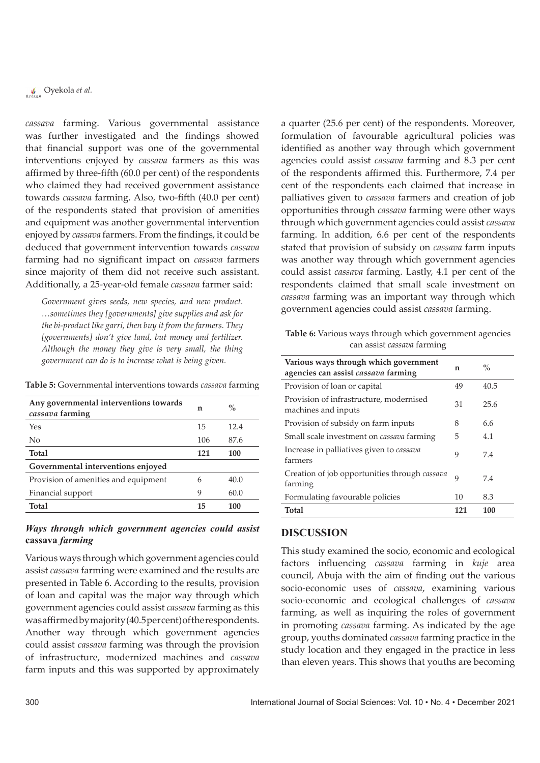*cassava* farming. Various governmental assistance was further investigated and the findings showed that financial support was one of the governmental interventions enjoyed by *cassava* farmers as this was affirmed by three-fifth (60.0 per cent) of the respondents who claimed they had received government assistance towards *cassava* farming. Also, two-fifth (40.0 per cent) of the respondents stated that provision of amenities and equipment was another governmental intervention enjoyed by *cassava* farmers. From the findings, it could be deduced that government intervention towards *cassava* farming had no significant impact on *cassava* farmers since majority of them did not receive such assistant. Additionally, a 25-year-old female *cassava* farmer said:

*Government gives seeds, new species, and new product. …sometimes they [governments] give supplies and ask for the bi-product like garri, then buy it from the farmers. They*  [governments] don't give land, but money and fertilizer. *Although the money they give is very small, the thing government can do is to increase what is being given.*

**Table 5:** Governmental interventions towards *cassava* farming

| Any governmental interventions towards<br>cassava farming | n   | $\%$ |
|-----------------------------------------------------------|-----|------|
| Yes                                                       | 15  | 12.4 |
| N <sub>0</sub>                                            | 106 | 87.6 |
| <b>Total</b>                                              | 121 | 100  |
| Governmental interventions enjoyed                        |     |      |
| Provision of amenities and equipment                      | 6   | 40.0 |
| Financial support                                         | 9   | 60.0 |
| <b>Total</b>                                              | 15  | 100  |

## *Ways through which government agencies could assist*  **cassava** *farming*

Various ways through which government agencies could assist *cassava* farming were examined and the results are presented in Table 6. According to the results, provision of loan and capital was the major way through which government agencies could assist *cassava* farming as this was affirmed by majority (40.5 per cent) of the respondents. Another way through which government agencies could assist *cassava* farming was through the provision of infrastructure, modernized machines and *cassava* farm inputs and this was supported by approximately

a quarter (25.6 per cent) of the respondents. Moreover, formulation of favourable agricultural policies was identified as another way through which government agencies could assist *cassava* farming and 8.3 per cent of the respondents affirmed this. Furthermore, 7.4 per cent of the respondents each claimed that increase in palliatives given to *cassava* farmers and creation of job opportunities through *cassava* farming were other ways through which government agencies could assist *cassava* farming. In addition, 6.6 per cent of the respondents stated that provision of subsidy on *cassava* farm inputs was another way through which government agencies could assist *cassava* farming. Lastly, 4.1 per cent of the respondents claimed that small scale investment on *cassava* farming was an important way through which government agencies could assist *cassava* farming.

**Table 6:** Various ways through which government agencies can assist *cassava* farming

| Various ways through which government<br>agencies can assist cassava farming | n   | $\%$ |
|------------------------------------------------------------------------------|-----|------|
| Provision of loan or capital                                                 | 49  | 40.5 |
| Provision of infrastructure, modernised<br>machines and inputs               | 31  | 25.6 |
| Provision of subsidy on farm inputs                                          | 8   | 6.6  |
| Small scale investment on <i>cassava</i> farming                             | 5   | 4.1  |
| Increase in palliatives given to <i>cassava</i><br>farmers                   | 9   | 7.4  |
| Creation of job opportunities through cassava<br>farming                     | 9   | 7.4  |
| Formulating favourable policies                                              | 10  | 8.3  |
| <b>Total</b>                                                                 | 121 | 100  |

## **Discussion**

This study examined the socio, economic and ecological factors influencing *cassava* farming in *kuje* area council, Abuja with the aim of finding out the various socio-economic uses of *cassava*, examining various socio-economic and ecological challenges of *cassava* farming, as well as inquiring the roles of government in promoting *cassava* farming. As indicated by the age group, youths dominated *cassava* farming practice in the study location and they engaged in the practice in less than eleven years. This shows that youths are becoming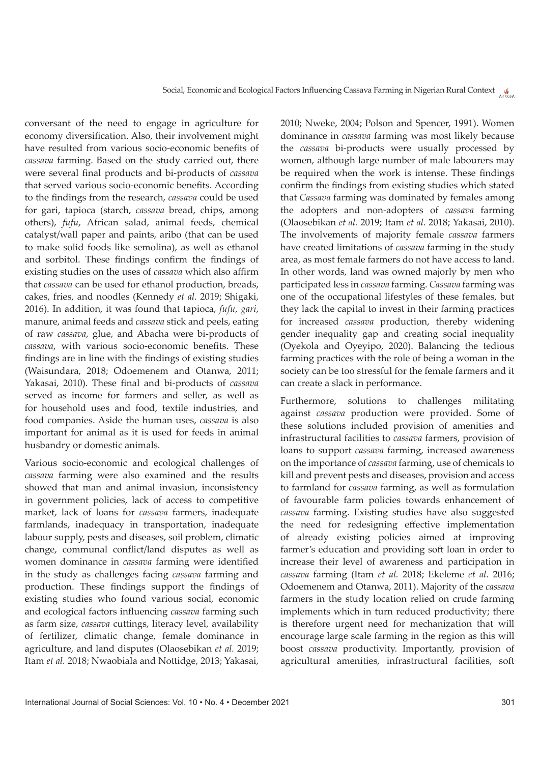conversant of the need to engage in agriculture for economy diversification. Also, their involvement might have resulted from various socio-economic benefits of *cassava* farming. Based on the study carried out, there were several final products and bi-products of *cassava* that served various socio-economic benefits. According to the findings from the research, *cassava* could be used for gari, tapioca (starch, *cassava* bread, chips, among others), *fufu*, African salad, animal feeds, chemical catalyst/wall paper and paints, aribo (that can be used to make solid foods like semolina), as well as ethanol and sorbitol. These findings confirm the findings of existing studies on the uses of *cassava* which also affirm that *cassava* can be used for ethanol production, breads, cakes, fries, and noodles (Kennedy *et al.* 2019; Shigaki, 2016). In addition, it was found that tapioca, *fufu*, *gari*, manure, animal feeds and *cassava* stick and peels, eating of raw *cassava*, glue, and Abacha were bi-products of *cassava*, with various socio-economic benefits. These findings are in line with the findings of existing studies (Waisundara, 2018; Odoemenem and Otanwa, 2011; Yakasai, 2010). These final and bi-products of *cassava* served as income for farmers and seller, as well as for household uses and food, textile industries, and food companies. Aside the human uses, *cassava* is also important for animal as it is used for feeds in animal husbandry or domestic animals.

Various socio-economic and ecological challenges of *cassava* farming were also examined and the results showed that man and animal invasion, inconsistency in government policies, lack of access to competitive market, lack of loans for *cassava* farmers, inadequate farmlands, inadequacy in transportation, inadequate labour supply, pests and diseases, soil problem, climatic change, communal conflict/land disputes as well as women dominance in *cassava* farming were identified in the study as challenges facing *cassava* farming and production. These findings support the findings of existing studies who found various social, economic and ecological factors influencing *cassava* farming such as farm size, *cassava* cuttings, literacy level, availability of fertilizer, climatic change, female dominance in agriculture, and land disputes (Olaosebikan *et al.* 2019; Itam *et al.* 2018; Nwaobiala and Nottidge, 2013; Yakasai,

2010; Nweke, 2004; Polson and Spencer, 1991). Women dominance in *cassava* farming was most likely because the *cassava* bi-products were usually processed by women, although large number of male labourers may be required when the work is intense. These findings confirm the findings from existing studies which stated that *Cassava* farming was dominated by females among the adopters and non-adopters of *cassava* farming (Olaosebikan *et al.* 2019; Itam *et al.* 2018; Yakasai, 2010). The involvements of majority female *cassava* farmers have created limitations of *cassava* farming in the study area, as most female farmers do not have access to land. In other words, land was owned majorly by men who participated less in *cassava* farming. *Cassava* farming was one of the occupational lifestyles of these females, but they lack the capital to invest in their farming practices for increased *cassava* production, thereby widening gender inequality gap and creating social inequality (Oyekola and Oyeyipo, 2020). Balancing the tedious farming practices with the role of being a woman in the society can be too stressful for the female farmers and it can create a slack in performance.

Furthermore, solutions to challenges militating against *cassava* production were provided. Some of these solutions included provision of amenities and infrastructural facilities to *cassava* farmers, provision of loans to support *cassava* farming, increased awareness on the importance of *cassava* farming, use of chemicals to kill and prevent pests and diseases, provision and access to farmland for *cassava* farming, as well as formulation of favourable farm policies towards enhancement of *cassava* farming. Existing studies have also suggested the need for redesigning effective implementation of already existing policies aimed at improving farmer's education and providing soft loan in order to increase their level of awareness and participation in *cassava* farming (Itam *et al.* 2018; Ekeleme *et al.* 2016; Odoemenem and Otanwa, 2011). Majority of the *cassava* farmers in the study location relied on crude farming implements which in turn reduced productivity; there is therefore urgent need for mechanization that will encourage large scale farming in the region as this will boost *cassava* productivity. Importantly, provision of agricultural amenities, infrastructural facilities, soft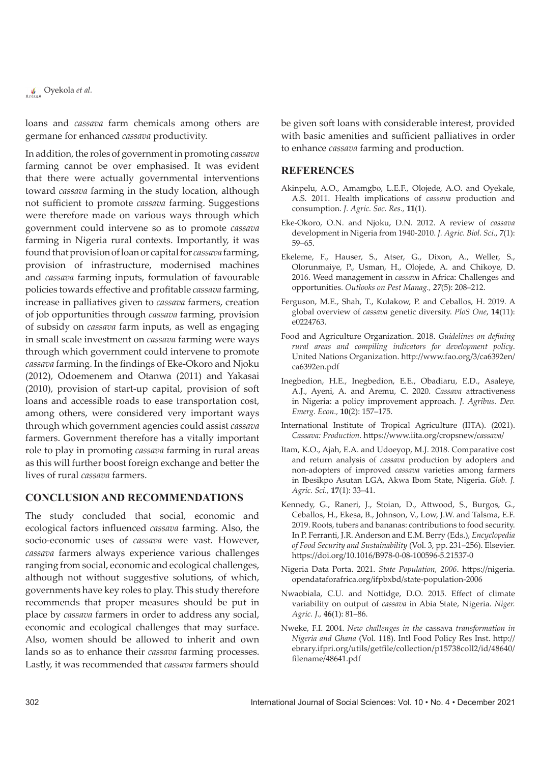loans and *cassava* farm chemicals among others are germane for enhanced *cassava* productivity.

In addition, the roles of government in promoting *cassava* farming cannot be over emphasised. It was evident that there were actually governmental interventions toward *cassava* farming in the study location, although not sufficient to promote *cassava* farming. Suggestions were therefore made on various ways through which government could intervene so as to promote *cassava* farming in Nigeria rural contexts. Importantly, it was found that provision of loan or capital for *cassava* farming, provision of infrastructure, modernised machines and *cassava* farming inputs, formulation of favourable policies towards effective and profitable *cassava* farming, increase in palliatives given to *cassava* farmers, creation of job opportunities through *cassava* farming, provision of subsidy on *cassava* farm inputs, as well as engaging in small scale investment on *cassava* farming were ways through which government could intervene to promote *cassava* farming. In the findings of Eke-Okoro and Njoku (2012), Odoemenem and Otanwa (2011) and Yakasai (2010), provision of start-up capital, provision of soft loans and accessible roads to ease transportation cost, among others, were considered very important ways through which government agencies could assist *cassava* farmers. Government therefore has a vitally important role to play in promoting *cassava* farming in rural areas as this will further boost foreign exchange and better the lives of rural *cassava* farmers.

# **Conclusion and Recommendations**

The study concluded that social, economic and ecological factors influenced *cassava* farming. Also, the socio-economic uses of *cassava* were vast. However, *cassava* farmers always experience various challenges ranging from social, economic and ecological challenges, although not without suggestive solutions, of which, governments have key roles to play. This study therefore recommends that proper measures should be put in place by *cassava* farmers in order to address any social, economic and ecological challenges that may surface. Also, women should be allowed to inherit and own lands so as to enhance their *cassava* farming processes. Lastly, it was recommended that *cassava* farmers should

be given soft loans with considerable interest, provided with basic amenities and sufficient palliatives in order to enhance *cassava* farming and production.

#### **References**

- Akinpelu, A.O., Amamgbo, L.E.F., Olojede, A.O. and Oyekale, A.S. 2011. Health implications of *cassava* production and consumption. *J. Agric. Soc. Res.,* **11**(1).
- Eke-Okoro, O.N. and Njoku, D.N. 2012. A review of *cassava* development in Nigeria from 1940-2010. *J. Agric. Biol. Sci.*, *7*(1): 59–65.
- Ekeleme, F., Hauser, S., Atser, G., Dixon, A., Weller, S., Olorunmaiye, P., Usman, H., Olojede, A. and Chikoye, D. 2016. Weed management in *cassava* in Africa: Challenges and opportunities. *Outlooks on Pest Manag., 27*(5): 208–212.
- Ferguson, M.E., Shah, T., Kulakow, P. and Ceballos, H. 2019. A global overview of *cassava* genetic diversity. *PloS One*, **14**(11): e0224763.
- Food and Agriculture Organization. 2018. *Guidelines on defining rural areas and compiling indicators for development policy*. United Nations Organization. http://www.fao.org/3/ca6392en/ ca6392en.pdf
- Inegbedion, H.E., Inegbedion, E.E., Obadiaru, E.D., Asaleye, A.J., Ayeni, A. and Aremu, C. 2020. *Cassava* attractiveness in Nigeria: a policy improvement approach. *J. Agribus. Dev. Emerg. Econ.,* **10**(2): 157–175.
- International Institute of Tropical Agriculture (IITA). (2021). *Cassava: Production*. https://www.iita.org/cropsnew/*cassava*/
- Itam, K.O., Ajah, E.A. and Udoeyop, M.J. 2018. Comparative cost and return analysis of *cassava* production by adopters and non-adopters of improved *cassava* varieties among farmers in Ibesikpo Asutan LGA, Akwa Ibom State, Nigeria. *Glob. J. Agric. Sci.,* **17**(1): 33–41.
- Kennedy, G., Raneri, J., Stoian, D., Attwood, S., Burgos, G., Ceballos, H., Ekesa, B., Johnson, V., Low, J.W. and Talsma, E.F. 2019. Roots, tubers and bananas: contributions to food security. In P. Ferranti, J.R. Anderson and E.M. Berry (Eds.), *Encyclopedia of Food Security and Sustainability* (Vol. 3, pp. 231–256). Elsevier. https://doi.org/10.1016/B978-0-08-100596-5.21537-0
- Nigeria Data Porta. 2021. *State Population, 2006*. https://nigeria. opendataforafrica.org/ifpbxbd/state-population-2006
- Nwaobiala, C.U. and Nottidge, D.O. 2015. Effect of climate variability on output of *cassava* in Abia State, Nigeria. *Niger. Agric. J.,* **46**(1): 81–86.
- Nweke, F.I. 2004. *New challenges in the* cassava *transformation in Nigeria and Ghana* (Vol. 118). Intl Food Policy Res Inst. http:// ebrary.ifpri.org/utils/getfile/collection/p15738coll2/id/48640/ filename/48641.pdf